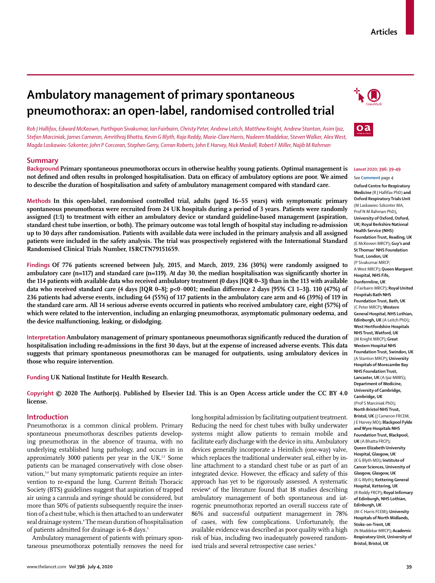# **Ambulatory management of primary spontaneous pneumothorax: an open-label, randomised controlled trial**

*Rob J Hallifax, Edward McKeown, Parthipan Sivakumar, Ian Fairbairn, Christy Peter, Andrew Leitch, Matthew Knight, Andrew Stanton, Asim Ijaz, Stefan Marciniak, James Cameron, Amrithraj Bhatta, Kevin G Blyth, Raja Reddy, Marie-Clare Harris, Nadeem Maddekar, Steven Walker, Alex West, Magda Laskawiec-Szkonter, John P Corcoran, Stephen Gerry, Corran Roberts, John E Harvey, Nick Maskell, Robert F Miller, Najib M Rahman*

# **Summary**

**Background Primary spontaneous pneumothorax occurs in otherwise healthy young patients. Optimal management is not defined and often results in prolonged hospitalisation. Data on efficacy of ambulatory options are poor. We aimed to describe the duration of hospitalisation and safety of ambulatory management compared with standard care.**

**Methods In this open-label, randomised controlled trial, adults (aged 16–55 years) with symptomatic primary spontaneous pneumothorax were recruited from 24 UK hospitals during a period of 3 years. Patients were randomly assigned (1:1) to treatment with either an ambulatory device or standard guideline-based management (aspiration, standard chest tube insertion, or both). The primary outcome was total length of hospital stay including re-admission up to 30 days after randomisation. Patients with available data were included in the primary analysis and all assigned patients were included in the safety analysis. The trial was prospectively registered with the International Standard Randomised Clinical Trials Number, ISRCTN79151659.**

**Findings Of 776 patients screened between July, 2015, and March, 2019, 236 (30%) were randomly assigned to ambulatory care (n=117) and standard care (n=119). At day 30, the median hospitalisation was significantly shorter in the 114 patients with available data who received ambulatory treatment (0 days [IQR 0–3]) than in the 113 with available data who received standard care (4 days [IQR 0–8]; p<0·0001; median difference 2 days [95% CI 1–3]). 110 (47%) of 236 patients had adverse events, including 64 (55%) of 117 patients in the ambulatory care arm and 46 (39%) of 119 in the standard care arm. All 14 serious adverse events occurred in patients who received ambulatory care, eight (57%) of which were related to the intervention, including an enlarging pneumothorax, asymptomatic pulmonary oedema, and the device malfunctioning, leaking, or dislodging.**

**Interpretation Ambulatory management of primary spontaneous pneumothorax significantly reduced the duration of hospitalisation including re-admissions in the first 30 days, but at the expense of increased adverse events. This data suggests that primary spontaneous pneumothorax can be managed for outpatients, using ambulatory devices in those who require intervention.**

**Funding UK National Institute for Health Research.**

**Copyright © 2020 The Author(s). Published by Elsevier Ltd. This is an Open Access article under the CC BY 4.0 license.** 

# **Introduction**

Pneumothorax is a common clinical problem. Primary spontaneous pneumothorax describes patients developing pneumothorax in the absence of trauma, with no underlying established lung pathology, and occurs in in approximately 3000 patients per year in the UK.<sup>1,2</sup> Some patients can be managed conservatively with close observation,<sup>3,4</sup> but many symptomatic patients require an intervention to re-expand the lung. Current British Thoracic Society (BTS) guidelines suggest that aspiration of trapped air using a cannula and syringe should be considered, but more than 50% of patients subsequently require the insertion of a chest tube, which is then attached to an underwater seal drainage system.4 The mean duration of hospitalisation of patients admitted for drainage is 6–8 days.<sup>5</sup>

Ambulatory management of patients with primary spontaneous pneumothorax potentially removes the need for long hospital admission by facilitating outpatient treatment. Reducing the need for chest tubes with bulky underwater systems might allow patients to remain mobile and facilitate early discharge with the device in situ. Ambulatory devices generally incorporate a Heimlich (one-way) valve, which replaces the traditional underwater seal, either by inline attachment to a standard chest tube or as part of an integrated device. However, the efficacy and safety of this approach has yet to be rigorously assessed. A systematic review<sup>6</sup> of the literature found that 18 studies describing ambulatory management of both spontaneous and iatrogenic pneumothorax reported an overall success rate of 86% and successful outpatient management in 78% of cases, with few complications. Unfortunately, the available evidence was described as poor quality with a high risk of bias, including two inadequately powered randomised trials and several retrospective case series.<sup>6</sup>





## *Lancet* **2020; 396: 39–49** See **Comment** page 4

**Oxford Centre for Respiratory Medicine** (R J Hallifax PhD) **and Oxford Respiratory Trials Unit** (M Laskawiec-Szkonter MA, Prof N M Rahman PhD)**, University of Oxford, Oxford, UK; Royal Berkshire National Health Service (NHS) Foundation Trust, Reading, UK** (E McKeown MRCP)**; Guy's and St Thomas' NHS Foundation Trust, London, UK** (P Sivakumar MRCP, A West MRCP)**; Queen Margaret Hospital, NHS Fife, Dunfermline, UK** (I Fairbairn MRCP)**; Royal United Hospitals Bath NHS Foundation Trust, Bath, UK** (C Peter MRCP)**; Western General Hospital, NHS Lothian, Edinburgh, UK** (A Leitch PhD)**; West Hertfordshire Hospitals NHS Trust, Watford, UK** (M Knight MRCP)**; Great Western Hospital NHS Foundation Trust, Swindon, UK** (A Stanton MRCP)**; University Hospitals of Morecambe Bay NHS Foundation Trust, Lancaster, UK** (A Ijaz MBBS)**; Department of Medicine, University of Cambridge, Cambridge, UK** (Prof S Marciniak PhD)**; North Bristol NHS Trust, Bristol, UK** (J Cameron FRCEM, J E Harvey MD)**; Blackpool Fylde and Wyre Hospitals NHS Foundation Trust, Blackpool, UK** (A Bhatta FRCP)**; Queen Elizabeth University Hospital, Glasgow, UK** (K G Blyth MD)**; Institute of Cancer Sciences, University of Glasgow, Glasgow, UK** (K G Blyth)**; Kettering General Hospital, Kettering, UK** (R Reddy FRCP)**; Royal Infirmary of Edinburgh, NHS Lothian, Edinburgh, UK** (M-C Harris FCEM)**; University Hospitals of North Midlands, Stoke-on-Trent, UK** (N Maddekar MRCP)**; Academic Respiratory Unit, University of Bristol, Bristol, UK**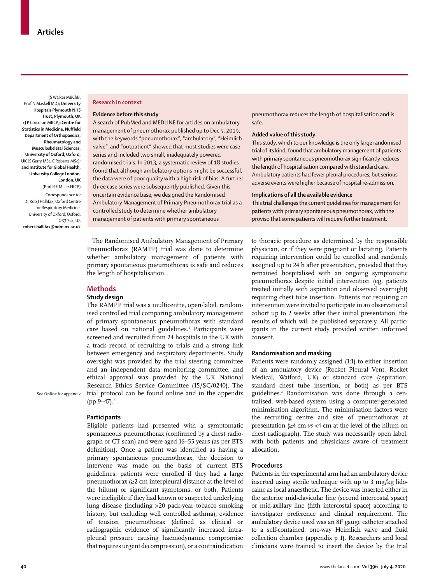(S Walker MBChB, Prof N Maskell MD)**; University Hospitals Plymouth NHS Trust, Plymouth, UK**  (J P Corcoran MRCP)**; Centre for Statistics in Medicine, Nuffield Department of Orthopaedics, Rheumatology and Musculoskeletal Sciences, University of Oxford, Oxford, UK** (S Gerry MSc, C Roberts MSc)**; and Institute for Global Health, University College London, London, UK** (Prof R F Miller FRCP)

Correspondence to: Dr Rob J Hallifax, Oxford Centre for Respiratory Medicine, University of Oxford, Oxford, OX3 7LE, UK **robert.hallifax@ndm.ox.ac.uk**

## **Research in context**

### **Evidence before this study**

A search of PubMed and MEDLINE for articles on ambulatory management of pneumothorax published up to Dec 5, 2019, with the keywords "pneumothorax", "ambulatory", "Heimlich valve", and "outpatient" showed that most studies were case series and included two small, inadequately powered randomised trials. In 2013, a systematic review of 18 studies found that although ambulatory options might be successful, the data were of poor quality with a high risk of bias. A further three case series were subsequently published. Given this uncertain evidence base, we designed the Randomised Ambulatory Management of Primary Pneumothorax trial as a controlled study to determine whether ambulatory management of patients with primary spontaneous

The Randomised Ambulatory Management of Primary Pneumothorax (RAMPP) trial was done to determine whether ambulatory management of patients with primary spontaneous pneumothorax is safe and reduces the length of hospitalisation.

## **Methods**

## **Study design**

The RAMPP trial was a multicentre, open-label, randomised controlled trial comparing ambulatory management of primary spontaneous pneumothorax with standard care based on national guidelines.4 Participants were screened and recruited from 24 hospitals in the UK with a track record of recruiting to trials and a strong link between emergency and respiratory departments. Study oversight was provided by the trial steering committee and an independent data monitoring committee, and ethical approval was provided by the UK National Research Ethics Service Committee (15/SC/0240). The trial protocol can be found online and in the appendix (pp  $9-47$ ).<sup>7</sup>

See **Online** for appendix

#### **Participants**

Eligible patients had presented with a symptomatic spontaneous pneumothorax (confirmed by a chest radiograph or CT scan) and were aged 16–55 years (as per BTS definition). Once a patient was identified as having a primary spontaneous pneumothorax, the decision to intervene was made on the basis of current BTS guidelines: patients were enrolled if they had a large pneumothorax (≥2 cm interpleural distance at the level of the hilum) or significant symptoms, or both. Patients were ineligible if they had known or suspected underlying lung disease (including >20 pack-year tobacco smoking history, but excluding well controlled asthma), evidence of tension pneumothorax (defined as clinical or radiographic evidence of significantly increased intrapleural pressure causing haemodynamic compromise that requires urgent decompression), or a contraindication pneumothorax reduces the length of hospitalisation and is safe.

## **Added value of this study**

This study, which to our knowledge is the only large randomised trial of its kind, found that ambulatory management of patients with primary spontaneous pneumothorax significantly reduces the length of hospitalisation compared with standard care. Ambulatory patients had fewer pleural procedures, but serious adverse events were higher because of hospital re-admission.

## **Implications of all the available evidence**

This trial challenges the current guidelines for management for patients with primary spontaneous pneumothorax, with the proviso that some patients will require further treatment.

to thoracic procedure as determined by the responsible physician, or if they were pregnant or lactating. Patients requiring intervention could be enrolled and randomly assigned up to 24 h after presentation, provided that they remained hospitalised with an ongoing symptomatic pneumothorax despite initial intervention (eg, patients treated initially with aspiration and observed overnight) requiring chest tube insertion. Patients not requiring an intervention were invited to participate in an observational cohort up to 2 weeks after their initial presentation, the results of which will be published separately. All participants in the current study provided written informed consent.

#### **Randomisation and masking**

Patients were randomly assigned (1:1) to either insertion of an ambulatory device (Rocket Pleural Vent, Rocket Medical, Watford, UK) or standard care (aspiration, standard chest tube insertion, or both) as per BTS guidelines.4 Randomisation was done through a centralised, web-based system using a computer-generated minimisation algorithm. The minimisation factors were the recruiting centre and size of pneumothorax at presentation (≥4 cm *vs* <4 cm at the level of the hilum on chest radiograph). The study was necessarily open label, with both patients and physicians aware of treatment allocation.

### **Procedures**

Patients in the experimental arm had an ambulatory device inserted using sterile technique with up to 3 mg/kg lidocaine as local anaesthetic. The device was inserted either in the anterior mid-clavicular line (second intercostal space) or mid-axillary line (fifth intercostal space) according to investigator preference and clinical requirement. The ambulatory device used was an 8F gauge catheter attached to a self-contained, one-way Heimlich valve and fluid collection chamber (appendix p 1). Researchers and local clinicians were trained to insert the device by the trial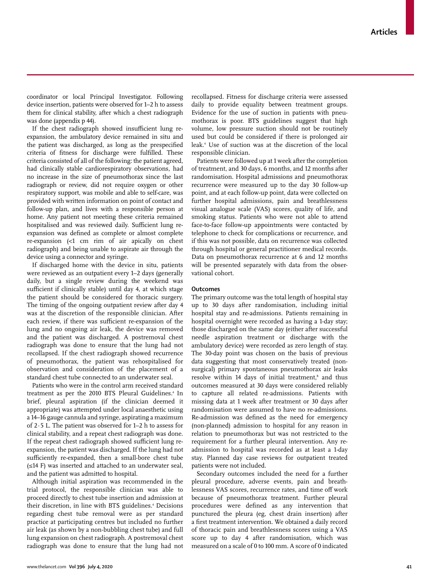coordinator or local Principal Investigator. Following device insertion, patients were observed for 1–2 h to assess them for clinical stability, after which a chest radiograph was done (appendix p 44).

If the chest radiograph showed insufficient lung reexpansion, the ambulatory device remained in situ and the patient was discharged, as long as the prespecified criteria of fitness for discharge were fulfilled. These criteria consisted of all of the following: the patient agreed, had clinically stable cardiorespiratory observations, had no increase in the size of pneumothorax since the last radiograph or review, did not require oxygen or other respiratory support, was mobile and able to self-care, was provided with written information on point of contact and follow-up plan, and lives with a responsible person at home. Any patient not meeting these criteria remained hospitalised and was reviewed daily. Sufficient lung reexpansion was defined as complete or almost complete re-expansion (<1 cm rim of air apically on chest radiograph) and being unable to aspirate air through the device using a connector and syringe.

If discharged home with the device in situ, patients were reviewed as an outpatient every 1–2 days (generally daily, but a single review during the weekend was sufficient if clinically stable) until day 4, at which stage the patient should be considered for thoracic surgery. The timing of the ongoing outpatient review after day 4 was at the discretion of the responsible clinician. After each review, if there was sufficient re-expansion of the lung and no ongoing air leak, the device was removed and the patient was discharged. A postremoval chest radiograph was done to ensure that the lung had not recollapsed. If the chest radiograph showed recurrence of pneumothorax, the patient was rehospitalised for observation and consideration of the placement of a standard chest tube connected to an underwater seal.

Patients who were in the control arm received standard treatment as per the 2010 BTS Pleural Guidelines.<sup>4</sup> In brief, pleural aspiration (if the clinician deemed it appropriate) was attempted under local anaesthetic using a 14–16 gauge cannula and syringe, aspirating a maximum of 2·5 L. The patient was observed for 1–2 h to assess for clinical stability, and a repeat chest radiograph was done. If the repeat chest radiograph showed sufficient lung reexpansion, the patient was discharged. If the lung had not sufficiently re-expanded, then a small-bore chest tube (≤14 F) was inserted and attached to an underwater seal, and the patient was admitted to hospital.

Although initial aspiration was recommended in the trial protocol, the responsible clinician was able to proceed directly to chest tube insertion and admission at their discretion, in line with BTS guidelines.<sup>4</sup> Decisions regarding chest tube removal were as per standard practice at participating centres but included no further air leak (as shown by a non-bubbling chest tube) and full lung expansion on chest radiograph. A postremoval chest radiograph was done to ensure that the lung had not

recollapsed. Fitness for discharge criteria were assessed daily to provide equality between treatment groups. Evidence for the use of suction in patients with pneumothorax is poor. BTS guidelines suggest that high volume, low pressure suction should not be routinely used but could be considered if there is prolonged air leak.4 Use of suction was at the discretion of the local responsible clinician.

Patients were followed up at 1 week after the completion of treatment, and 30 days, 6 months, and 12 months after randomisation. Hospital admissions and pneumothorax recurrence were measured up to the day 30 follow-up point, and at each follow-up point, data were collected on further hospital admissions, pain and breathlessness visual analogue scale (VAS) scores, quality of life, and smoking status. Patients who were not able to attend face-to-face follow-up appointments were contacted by telephone to check for complications or recurrence, and if this was not possible, data on recurrence was collected through hospital or general practitioner medical records. Data on pneumothorax recurrence at 6 and 12 months will be presented separately with data from the observational cohort.

## **Outcomes**

The primary outcome was the total length of hospital stay up to 30 days after randomisation, including initial hospital stay and re-admissions. Patients remaining in hospital overnight were recorded as having a 1-day stay; those discharged on the same day (either after successful needle aspiration treatment or discharge with the ambulatory device) were recorded as zero length of stay. The 30-day point was chosen on the basis of previous data suggesting that most conservatively treated (nonsurgical) primary spontaneous pneumothorax air leaks resolve within 14 days of initial treatment,<sup>8</sup> and thus outcomes measured at 30 days were considered reliably to capture all related re-admissions. Patients with missing data at 1 week after treatment or 30 days after randomisation were assumed to have no re-admissions. Re-admission was defined as the need for emergency (non-planned) admission to hospital for any reason in relation to pneumothorax but was not restricted to the requirement for a further pleural intervention. Any readmission to hospital was recorded as at least a 1-day stay. Planned day case reviews for outpatient treated patients were not included.

Secondary outcomes included the need for a further pleural procedure, adverse events, pain and breathlessness VAS scores, recurrence rates, and time off work because of pneumothorax treatment. Further pleural procedures were defined as any intervention that punctured the pleura (eg, chest drain insertion) after a first treatment intervention. We obtained a daily record of thoracic pain and breathlessness scores using a VAS score up to day 4 after randomisation, which was measured on a scale of 0 to 100 mm. A score of 0 indicated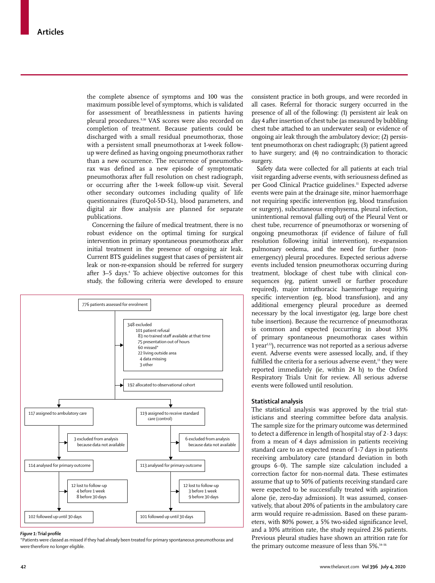the complete absence of symptoms and 100 was the maximum possible level of symptoms, which is validated for assessment of breathlessness in patients having pleural procedures.<sup>9,10</sup> VAS scores were also recorded on completion of treatment. Because patients could be discharged with a small residual pneumothorax, those with a persistent small pneumothorax at 1-week followup were defined as having ongoing pneumothorax rather than a new occurrence. The recurrence of pneumothorax was defined as a new episode of symptomatic pneumothorax after full resolution on chest radiograph, or occurring after the 1-week follow-up visit. Several other secondary outcomes including quality of life questionnaires (EuroQol-5D-5L), blood parameters, and digital air flow analysis are planned for separate publications.

Concerning the failure of medical treatment, there is no robust evidence on the optimal timing for surgical intervention in primary spontaneous pneumothorax after initial treatment in the presence of ongoing air leak. Current BTS guidelines suggest that cases of persistent air leak or non-re-expansion should be referred for surgery after 3–5 days.<sup>4</sup> To achieve objective outcomes for this study, the following criteria were developed to ensure



#### *Figure 1:* **Trial profile**

\*Patients were classed as missed if they had already been treated for primary spontaneous pneumothorax and were therefore no longer eligible.

consistent practice in both groups, and were recorded in all cases. Referral for thoracic surgery occurred in the presence of all of the following: (1) persistent air leak on day 4 after insertion of chest tube (as measured by bubbling chest tube attached to an underwater seal) or evidence of ongoing air leak through the ambulatory device; (2) persistent pneumothorax on chest radiograph; (3) patient agreed to have surgery; and (4) no contraindication to thoracic surgery.

Safety data were collected for all patients at each trial visit regarding adverse events, with seriousness defined as per Good Clinical Practice guidelines.<sup>11</sup> Expected adverse events were pain at the drainage site, minor haemorrhage not requiring specific intervention (eg, blood transfusion or surgery), subcutaneous emphysema, pleural infection, unintentional removal (falling out) of the Pleural Vent or chest tube, recurrence of pneumothorax or worsening of ongoing pneumothorax (if evidence of failure of full resolution following initial intervention), re-expansion pulmonary oedema, and the need for further (nonemergency) pleural procedures. Expected serious adverse events included tension pneumothorax occurring during treatment, blockage of chest tube with clinical consequences (eg, patient unwell or further procedure required), major intrathoracic haemorrhage requiring specific intervention (eg, blood transfusion), and any additional emergency pleural procedure as deemed necessary by the local investigator (eg, large bore chest tube insertion). Because the recurrence of pneumothorax is common and expected (occurring in about 33% of primary spontaneous pneumothorax cases within 1 year<sup>1,12</sup>), recurrence was not reported as a serious adverse event. Adverse events were assessed locally, and, if they fulfilled the criteria for a serious adverse event,<sup>13</sup> they were reported immediately (ie, within 24 h) to the Oxford Respiratory Trials Unit for review. All serious adverse events were followed until resolution.

## **Statistical analysis**

The statistical analysis was approved by the trial statisticians and steering committee before data analysis. The sample size for the primary outcome was determined to detect a difference in length of hospital stay of 2·3 days: from a mean of 4 days admission in patients receiving standard care to an expected mean of 1·7 days in patients receiving ambulatory care (standard deviation in both groups 6·0). The sample size calculation included a correction factor for non-normal data. These estimates assume that up to 50% of patients receiving standard care were expected to be successfully treated with aspiration alone (ie, zero-day admission). It was assumed, conservatively, that about 20% of patients in the ambulatory care arm would require re-admission. Based on these parameters, with 80% power, a 5% two-sided significance level, and a 10% attrition rate, the study required 236 patients. Previous pleural studies have shown an attrition rate for the primary outcome measure of less than 5%.<sup>14-16</sup>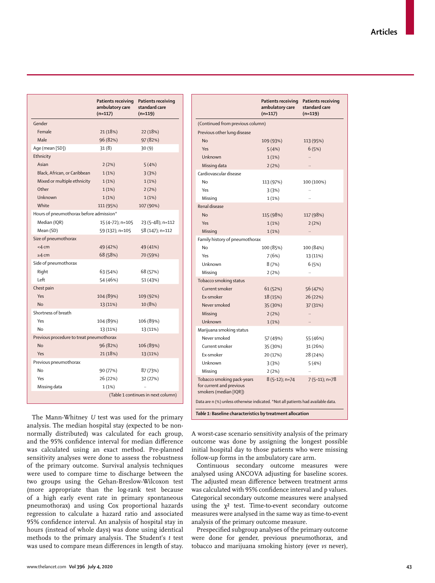|                                          | <b>Patients receiving</b><br>ambulatory care<br>$(n=117)$ | <b>Patients receiving</b><br>standard care<br>$(n=119)$ |  |  |
|------------------------------------------|-----------------------------------------------------------|---------------------------------------------------------|--|--|
| Gender                                   |                                                           |                                                         |  |  |
| Female                                   | 21 (18%)                                                  | 22 (18%)                                                |  |  |
| Male                                     | 96 (82%)                                                  | 97 (82%)                                                |  |  |
| Age (mean [SD])                          | 31(8)                                                     | 30(9)                                                   |  |  |
| Ethnicity                                |                                                           |                                                         |  |  |
| Asian                                    | 2(2%)                                                     | 5(4%)                                                   |  |  |
| Black, African, or Caribbean             | 1(1%)                                                     | 3(3%)                                                   |  |  |
| Mixed or multiple ethnicity              | 1(1%)                                                     | 1(1%)                                                   |  |  |
| Other                                    | 1(1%)                                                     | 2(2%)                                                   |  |  |
| Unknown                                  | 1(1%)                                                     | 1(1%)                                                   |  |  |
| White                                    | 111 (95%)                                                 | 107 (90%)                                               |  |  |
| Hours of pneumothorax before admission*  |                                                           |                                                         |  |  |
| Median (IQR)                             | 15 (4-72); n=105                                          | 23 (5-48); n=112                                        |  |  |
| Mean (SD)                                | 59 (132); n=105                                           | 58 (147); n=112                                         |  |  |
| Size of pneumothorax                     |                                                           |                                                         |  |  |
| $<$ 4 cm                                 | 49 (42%)                                                  | 49 (41%)                                                |  |  |
| $\geq 4$ cm                              | 68 (58%)                                                  | 70 (59%)                                                |  |  |
| Side of pneumothorax                     |                                                           |                                                         |  |  |
| Right                                    | 63 (54%)                                                  | 68 (57%)                                                |  |  |
| Left                                     | 54 (46%)                                                  | 51 (43%)                                                |  |  |
| Chest pain                               |                                                           |                                                         |  |  |
| Yes                                      | 104 (89%)                                                 | 109 (92%)                                               |  |  |
| <b>No</b>                                | 13 (11%)                                                  | 10 (8%)                                                 |  |  |
| Shortness of breath                      |                                                           |                                                         |  |  |
| Yes                                      | 104 (89%)                                                 | 106 (89%)                                               |  |  |
| Nο                                       | 13 (11%)                                                  | 13 (11%)                                                |  |  |
| Previous procedure to treat pneumothorax |                                                           |                                                         |  |  |
| <b>No</b>                                | 96 (82%)                                                  | 106 (89%)                                               |  |  |
| Yes                                      | 21 (18%)                                                  | 13 (11%)                                                |  |  |
| Previous pneumothorax                    |                                                           |                                                         |  |  |
| No                                       | 90 (77%)                                                  | 87 (73%)                                                |  |  |
| Yes                                      | 26 (22%)                                                  | 32 (27%)                                                |  |  |
| Missing data                             | 1(1%)                                                     |                                                         |  |  |
|                                          | (Table 1 continues in next column)                        |                                                         |  |  |

|                                                                                  | Patients receiving<br>ambulatory care<br>$(n=117)$ | <b>Patients receiving</b><br>standard care<br>$(n=119)$ |  |  |  |  |
|----------------------------------------------------------------------------------|----------------------------------------------------|---------------------------------------------------------|--|--|--|--|
| (Continued from previous column)                                                 |                                                    |                                                         |  |  |  |  |
| Previous other lung disease                                                      |                                                    |                                                         |  |  |  |  |
| No                                                                               | 109 (93%)                                          | 113 (95%)                                               |  |  |  |  |
| Yes                                                                              | 5(4%)                                              | 6(5%)                                                   |  |  |  |  |
| Unknown                                                                          | 1(1%)                                              | $\ddotsc$                                               |  |  |  |  |
| Missing data                                                                     | 2(2%)                                              |                                                         |  |  |  |  |
| Cardiovascular disease                                                           |                                                    |                                                         |  |  |  |  |
| No                                                                               | 113 (97%)                                          | 100 (100%)                                              |  |  |  |  |
| Yes                                                                              | 3(3%)                                              |                                                         |  |  |  |  |
| Missing                                                                          | 1(1%)                                              |                                                         |  |  |  |  |
| Renal disease                                                                    |                                                    |                                                         |  |  |  |  |
| No                                                                               | 115 (98%)                                          | 117 (98%)                                               |  |  |  |  |
| Yes                                                                              | 1(1%)                                              | 2(2%)                                                   |  |  |  |  |
| Missing                                                                          | 1(1%)                                              | $\ddotsc$                                               |  |  |  |  |
| Family history of pneumothorax                                                   |                                                    |                                                         |  |  |  |  |
| No                                                                               | 100 (85%)                                          | 100 (84%)                                               |  |  |  |  |
| Yes                                                                              | 7 (6%)                                             | 13 (11%)                                                |  |  |  |  |
| Unknown                                                                          | 8(7%)                                              | 6(5%)                                                   |  |  |  |  |
| Missing                                                                          | 2(2%)                                              | $\ddot{\phantom{a}}$                                    |  |  |  |  |
| Tobacco smoking status                                                           |                                                    |                                                         |  |  |  |  |
| Current smoker                                                                   | 61 (52%)                                           | 56 (47%)                                                |  |  |  |  |
| Ex-smoker                                                                        | 18 (15%)                                           | 26 (22%)                                                |  |  |  |  |
| Never smoked                                                                     | 35 (30%)                                           | 37 (31%)                                                |  |  |  |  |
| Missing                                                                          | 2(2%)                                              | $\ddotsc$                                               |  |  |  |  |
| Unknown                                                                          | 1(1%)                                              |                                                         |  |  |  |  |
| Marijuana smoking status                                                         |                                                    |                                                         |  |  |  |  |
| Never smoked                                                                     | 57 (49%)                                           | 55 (46%)                                                |  |  |  |  |
| Current smoker                                                                   | 35 (30%)                                           | 31 (26%)                                                |  |  |  |  |
| Ex-smoker                                                                        | 20 (17%)                                           | 28 (24%)                                                |  |  |  |  |
| Unknown                                                                          | 3(3%)                                              | 5(4%)                                                   |  |  |  |  |
| Missing                                                                          | 2(2%)                                              |                                                         |  |  |  |  |
| Tobacco smoking pack-years<br>for current and previous<br>smokers (median [IQR]) | $8(5-12)$ ; n=74                                   | $7(5-11)$ ; n=78                                        |  |  |  |  |
| Data are n (%) unless otherwise indicated. *Not all patients had available data. |                                                    |                                                         |  |  |  |  |
| Table 1: Baseline characteristics by treatment allocation                        |                                                    |                                                         |  |  |  |  |

The Mann-Whitney *U* test was used for the primary analysis. The median hospital stay (expected to be nonnormally distributed) was calculated for each group, and the 95% confidence interval for median difference was calculated using an exact method. Pre-planned sensitivity analyses were done to assess the robustness of the primary outcome. Survival analysis techniques were used to compare time to discharge between the two groups using the Gehan-Breslow-Wilcoxon test (more appropriate than the log-rank test because of a high early event rate in primary spontaneous pneumothorax) and using Cox proportional hazards regression to calculate a hazard ratio and associated 95% confidence interval. An analysis of hospital stay in hours (instead of whole days) was done using identical methods to the primary analysis. The Student's *t* test was used to compare mean differences in length of stay.

A worst-case scenario sensitivity analysis of the primary outcome was done by assigning the longest possible initial hospital day to those patients who were missing follow-up forms in the ambulatory care arm.

Continuous secondary outcome measures were analysed using ANCOVA adjusting for baseline scores. The adjusted mean difference between treatment arms was calculated with 95% confidence interval and p values. Categorical secondary outcome measures were analysed using the  $\chi^2$  test. Time-to-event secondary outcome measures were analysed in the same way as time-to-event analysis of the primary outcome measure.

Prespecified subgroup analyses of the primary outcome were done for gender, previous pneumothorax, and tobacco and marijuana smoking history (ever *vs* never),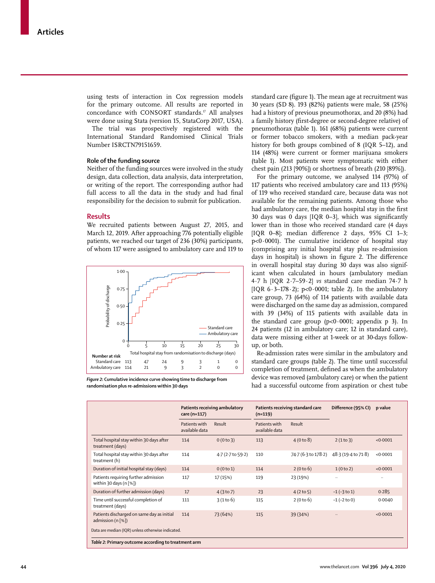using tests of interaction in Cox regression models for the primary outcome. All results are reported in concordance with CONSORT standards.<sup>17</sup> All analyses were done using Stata (version 15, StataCorp 2017, USA).

The trial was prospectively registered with the International Standard Randomised Clinical Trials Number ISRCTN79151659.

## **Role of the funding source**

Neither of the funding sources were involved in the study design, data collection, data analysis, data interpretation, or writing of the report. The corresponding author had full access to all the data in the study and had final responsibility for the decision to submit for publication.

#### **Results**

We recruited patients between August 27, 2015, and March 12, 2019. After approaching 776 potentially eligible patients, we reached our target of 236 (30%) participants, of whom 117 were assigned to ambulatory care and 119 to



*Figure 2:* **Cumulative incidence curve showing time to discharge from randomisation plus re-admissions within 30 days**

standard care (figure 1). The mean age at recruitment was 30 years (SD 8). 193 (82%) patients were male, 58 (25%) had a history of previous pneumothorax, and 20 (8%) had a family history (first-degree or second-degree relative) of pneumothorax (table 1). 161 (68%) patients were current or former tobacco smokers, with a median pack-year history for both groups combined of 8 (IQR 5–12), and 114 (48%) were current or former marijuana smokers (table 1). Most patients were symptomatic with either chest pain (213 [90%]) or shortness of breath (210 [89%]).

For the primary outcome, we analysed 114 (97%) of 117 patients who received ambulatory care and 113 (95%) of 119 who received standard care, because data was not available for the remaining patients. Among those who had ambulatory care, the median hospital stay in the first 30 days was 0 days [IQR 0–3], which was significantly lower than in those who received standard care (4 days [IQR 0–8]; median difference 2 days, 95% CI 1–3; p<0·0001). The cumulative incidence of hospital stay (comprising any initial hospital stay plus re-admission days in hospital) is shown in figure 2. The difference in overall hospital stay during 30 days was also significant when calculated in hours (ambulatory median 4·7 h [IQR 2·7–59·2] *vs* standard care median 74·7 h [IQR  $6.3-178.2$ ]; p<0.0001; table 2). In the ambulatory care group, 73 (64%) of 114 patients with available data were discharged on the same day as admission, compared with 39 (34%) of 115 patients with available data in the standard care group  $(p<0.0001;$  appendix p 3). In 24 patients (12 in ambulatory care; 12 in standard care), data were missing either at 1-week or at 30-days followup, or both.

Re-admission rates were similar in the ambulatory and standard care groups (table 2). The time until successful completion of treatment, defined as when the ambulatory device was removed (ambulatory care) or when the patient had a successful outcome from aspiration or chest tube

|                                                                                         | Patients receiving ambulatory<br>care (n=117) |                   | Patients receiving standard care<br>$(n=119)$ |                     | Difference (95% CI) | p value   |
|-----------------------------------------------------------------------------------------|-----------------------------------------------|-------------------|-----------------------------------------------|---------------------|---------------------|-----------|
|                                                                                         | Patients with<br>available data               | Result            | Patients with<br>available data               | Result              |                     |           |
| Total hospital stay within 30 days after<br>treatment (days)                            | 114                                           | 0(0 to 3)         | 113                                           | 4(0 to 8)           | 2(1 to 3)           | <0.0001   |
| Total hospital stay within 30 days after<br>treatment (h)                               | 114                                           | 4.7 (2.7 to 59.2) | 110                                           | 74.7 (6.3 to 178.2) | 48.3 (19.4 to 71.8) | < 0.0001  |
| Duration of initial hospital stay (days)                                                | 114                                           | 0(0 to 1)         | 114                                           | 2(0 to 6)           | 1(0 to 2)           | < 0.0001  |
| Patients requiring further admission<br>within 30 days (n $[%]$ )                       | 117                                           | 17 (15%)          | 119                                           | 23 (19%)            | $\ddots$            | $\ddotsc$ |
| Duration of further admission (days)                                                    | 17                                            | 4(3 to 7)         | 23                                            | 4(2 to 5)           | $-1$ ( $-3$ to 1)   | 0.285     |
| Time until successful completion of<br>treatment (days)                                 | 111                                           | 3(1 to 6)         | 115                                           | 2(0 to 6)           | $-1$ ( $-2$ to 0)   | 0.0040    |
| Patients discharged on same day as initial<br>admission $(n \lceil \frac{6}{6} \rceil)$ | 114                                           | 73 (64%)          | 115                                           | 39 (34%)            |                     | < 0.0001  |
| Data are median (IQR) unless otherwise indicated.                                       |                                               |                   |                                               |                     |                     |           |
| Table 2: Primary outcome according to treatment arm                                     |                                               |                   |                                               |                     |                     |           |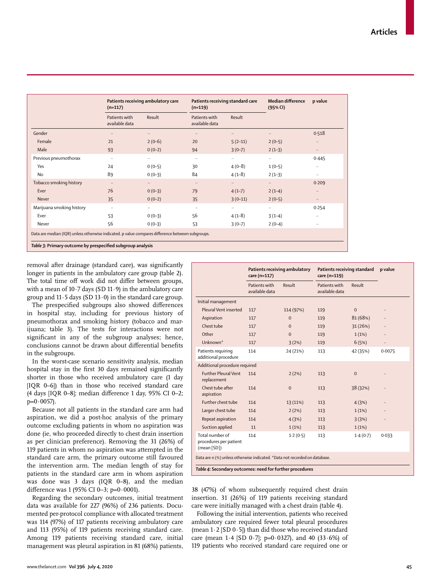|                                                                                                                                                                | $(n=117)$                       | Patients receiving ambulatory care |                                 | Patients receiving standard care<br>$(n=119)$ |           | p value   |
|----------------------------------------------------------------------------------------------------------------------------------------------------------------|---------------------------------|------------------------------------|---------------------------------|-----------------------------------------------|-----------|-----------|
|                                                                                                                                                                | Patients with<br>available data | Result                             | Patients with<br>available data | Result                                        |           |           |
| Gender                                                                                                                                                         | $\ldots$                        | $\ldots$                           | $\ldots$                        |                                               | $\ddotsc$ | 0.518     |
| Female                                                                                                                                                         | 21                              | $2(0-6)$                           | 20                              | $5(2-11)$                                     | $2(0-5)$  | $\ldots$  |
| Male                                                                                                                                                           | 93                              | $0(0-2)$                           | 94                              | $3(0-7)$                                      | $2(1-3)$  | $\cdots$  |
| Previous pneumothorax                                                                                                                                          | $\ddotsc$                       | $\ldots$                           | $\ldots$                        |                                               | $\ldots$  | 0.445     |
| Yes                                                                                                                                                            | 24                              | $0(0-5)$                           | 30                              | $4(0-8)$                                      | $1(0-5)$  | $\ddotsc$ |
| <b>No</b>                                                                                                                                                      | 89                              | $0(0-3)$                           | 84                              | $4(1-8)$                                      | $2(1-3)$  | $\cdots$  |
| Tobacco smoking history                                                                                                                                        | $\ldots$                        | $\cdots$                           | $\ldots$                        | $\ddots$                                      | $\ddotsc$ | 0.209     |
| Ever                                                                                                                                                           | 76                              | $0(0-3)$                           | 79                              | $4(1-7)$                                      | $2(1-4)$  | $\cdots$  |
| Never                                                                                                                                                          | 35                              | $0(0-2)$                           | 35                              | $3(0-11)$                                     | $2(0-5)$  | $\ddotsc$ |
| Marijuana smoking history                                                                                                                                      | $\cdot\cdot$                    | $\cdots$                           | $\cdots$                        | $\cdots$                                      | $\cdots$  | 0.254     |
| Ever                                                                                                                                                           | 53                              | $0(0-3)$                           | 56                              | $4(1-8)$                                      | $3(1-4)$  | $\ddotsc$ |
| Never                                                                                                                                                          | 56                              | $0(0-3)$                           | 53                              | $3(0-7)$                                      | $2(0-4)$  | $\ddotsc$ |
| Data are median (IQR) unless otherwise indicated. p value compares difference between subgroups.<br>Table 3: Primary outcome by prespecified subgroup analysis |                                 |                                    |                                 |                                               |           |           |

removal after drainage (standard care), was significantly longer in patients in the ambulatory care group (table 2). The total time off work did not differ between groups, with a mean of  $10.7$  days (SD  $11.9$ ) in the ambulatory care group and  $11.5$  days (SD  $13.0$ ) in the standard care group.

The prespecified subgroups also showed differences in hospital stay, including for previous history of pneumothorax and smoking history (tobacco and marijuana; table 3). The tests for interactions were not significant in any of the subgroup analyses; hence, conclusions cannot be drawn about differential benefits in the subgroups.

In the worst-case scenario sensitivity analysis, median hospital stay in the first 30 days remained significantly shorter in those who received ambulatory care (1 day [IQR 0–6]) than in those who received standard care (4 days [IQR 0–8]; median difference 1 day, 95% CI 0–2;  $p=0.0057$ ).

Because not all patients in the standard care arm had aspiration, we did a post-hoc analysis of the primary outcome excluding patients in whom no aspiration was done (ie, who proceeded directly to chest drain insertion as per clinician preference). Removing the 31 (26%) of 119 patients in whom no aspiration was attempted in the standard care arm, the primary outcome still favoured the intervention arm. The median length of stay for patients in the standard care arm in whom aspiration was done was 3 days (IQR 0–8), and the median difference was 1 (95% CI 0–3; p=0·0001).

Regarding the secondary outcomes, initial treatment data was available for 227 (96%) of 236 patients. Documented per-protocol compliance with allocated treatment was 114 (97%) of 117 patients receiving ambulatory care and 113 (95%) of 119 patients receiving standard care. Among 119 patients receiving standard care, initial management was pleural aspiration in 81 (68%) patients,

|                                                                            | Patients receiving ambulatory<br>care (n=117) |              | Patients receiving standard<br>care (n=119) |              | p value |  |
|----------------------------------------------------------------------------|-----------------------------------------------|--------------|---------------------------------------------|--------------|---------|--|
|                                                                            | Patients with<br>available data               | Result       | Patients with<br>available data             | Result       |         |  |
| Initial management                                                         |                                               |              |                                             |              |         |  |
| Pleural Vent inserted                                                      | 117                                           | 114 (97%)    | 119                                         | $\mathbf{0}$ |         |  |
| Aspiration                                                                 | 117                                           | $\mathbf{0}$ | 119                                         | 81 (68%)     |         |  |
| Chest tube                                                                 | 117                                           | $\Omega$     | 119                                         | 31(26%)      |         |  |
| Other                                                                      | 117                                           | $\mathbf 0$  | 119                                         | 1(1%)        |         |  |
| Unknown*                                                                   | 117                                           | 3(2%)        | 119                                         | 6(5%)        |         |  |
| Patients requiring<br>additional procedure                                 | 114                                           | 24 (21%)     | 113                                         | 42 (35%)     | 0.0075  |  |
| Additional procedure required                                              |                                               |              |                                             |              |         |  |
| <b>Further Pleural Vent</b><br>replacement                                 | 114                                           | 2(2%)        | 113                                         | $\mathbf{0}$ |         |  |
| Chest tube after<br>aspiration                                             | 114                                           | $\mathbf 0$  | 113                                         | 38 (32%)     |         |  |
| Further chest tube                                                         | 114                                           | 13 (11%)     | 113                                         | 4(3%)        |         |  |
| Larger chest tube                                                          | 114                                           | 2(2%)        | 113                                         | 1(1%)        |         |  |
| Repeat aspiration                                                          | 114                                           | 4(3%)        | 113                                         | 3(3%)        |         |  |
| Suction applied                                                            | 11                                            | 1(1%)        | 113                                         | 1(1%)        |         |  |
| Total number of<br>procedures per patient<br>(mean [SD])                   | 114                                           | 1.2(0.5)     | 113                                         | 1.4(0.7)     | 0.033   |  |
| Data are n (%) unless otherwise indicated. *Data not recorded on database. |                                               |              |                                             |              |         |  |
| Table 4: Secondary outcomes: need for further procedures                   |                                               |              |                                             |              |         |  |

38 (47%) of whom subsequently required chest drain insertion. 31 (26%) of 119 patients receiving standard care were initially managed with a chest drain (table 4).

Following the initial intervention, patients who received ambulatory care required fewer total pleural procedures (mean  $1.2$  [SD  $0.5$ ]) than did those who received standard care (mean  $1.4$  [SD  $0.\overline{7}$ ]; p=0.0327), and 40 (33.6%) of 119 patients who received standard care required one or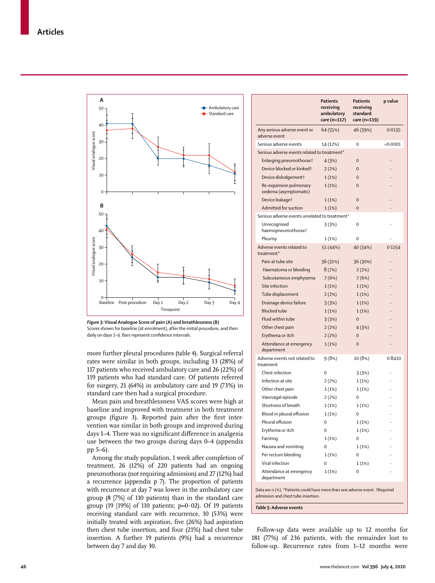

*Figure 3:* **Visual Analogue Score of pain (A) and breathlessness (B)** Scores shown for baseline (at enrolment), after the initial procedure, and then daily on days 1–4. Bars represent confidence intervals.

more further pleural procedures (table 4). Surgical referral rates were similar in both groups, including 33 (28%) of 117 patients who received ambulatory care and 26 (22%) of 119 patients who had standard care. Of patients referred for surgery, 21 (64%) in ambulatory care and 19 (73%) in standard care then had a surgical procedure.

Mean pain and breathlessness VAS scores were high at baseline and improved with treatment in both treatment groups (figure 3). Reported pain after the first intervention was similar in both groups and improved during days 1–4. There was no significant difference in analgesia use between the two groups during days 0–4 (appendix pp 5–6).

Among the study population, 1 week after completion of treatment, 26 (12%) of 220 patients had an ongoing pneumothorax (not requiring admission) and 27 (12%) had a recurrence (appendix p 7). The proportion of patients with recurrence at day 7 was lower in the ambulatory care group (8 [7%] of 110 patients) than in the standard care group (19 [19%] of 110 patients;  $p=0.02$ ). Of 19 patients receiving standard care with recurrence, 10 (53%) were initially treated with aspiration, five (26%) had aspiration then chest tube insertion, and four (21%) had chest tube insertion. A further 19 patients (9%) had a recurrence between day 7 and day 30.

|                                                                             | Patients<br>receiving<br>ambulatory<br>care (n=117) | Patients<br>receiving<br>standard<br>care (n=119) | p value  |  |  |  |
|-----------------------------------------------------------------------------|-----------------------------------------------------|---------------------------------------------------|----------|--|--|--|
| Any serious adverse event or<br>adverse event                               | 64 (55%)                                            | 46 (39%)                                          | 0.0135   |  |  |  |
| Serious adverse events                                                      | 14 (12%)                                            | $\Omega$                                          | < 0.0001 |  |  |  |
| Serious adverse events related to treatment*                                |                                                     |                                                   |          |  |  |  |
| Enlarging pneumothorax <sup>†</sup>                                         | 4(3%)                                               | 0                                                 |          |  |  |  |
| Device blocked or kinked†                                                   | 2(2%)                                               | $\mathbf 0$                                       |          |  |  |  |
| Device dislodgement†                                                        | 1(1%)                                               | $\mathbf 0$                                       |          |  |  |  |
| Re-expansion pulmonary<br>oedema (asymptomatic)                             | 1(1%)                                               | $\mathbf 0$                                       |          |  |  |  |
| Device leakaget                                                             | 1(1%)                                               | $\mathbf 0$                                       |          |  |  |  |
| Admitted for suction                                                        | 1(1%)                                               | $\mathbf 0$                                       |          |  |  |  |
| Serious adverse events unrelated to treatment*                              |                                                     |                                                   |          |  |  |  |
| Unrecognised<br>haemopneumothorax†                                          | 3(3%)                                               | 0                                                 |          |  |  |  |
| Pleurisy                                                                    | 1(1%)                                               | 0                                                 |          |  |  |  |
| Adverse events related to<br>treatment*                                     | 51 (44%)                                            | 40 (34%)                                          | 0.1154   |  |  |  |
| Pain at tube site                                                           | 36 (31%)                                            | 36 (30%)                                          |          |  |  |  |
| Haematoma or bleeding                                                       | 8(7%)                                               | 2(2%)                                             |          |  |  |  |
| Subcutaneous emphysema                                                      | 7(6%)                                               | 7(6%)                                             |          |  |  |  |
| Site infection                                                              | 1(1%)                                               | 1(1%)                                             |          |  |  |  |
| Tube displacement                                                           | 2(2%)                                               | 1(1%)                                             |          |  |  |  |
| Drainage device failure                                                     | 3(3%)                                               | 1(1%)                                             |          |  |  |  |
| <b>Blocked tube</b>                                                         | 1(1%)                                               | 1(1%)                                             |          |  |  |  |
| Fluid within tube                                                           | 3(3%)                                               | $\mathbf 0$                                       |          |  |  |  |
| Other chest pain                                                            | 2(2%)                                               | 4(3%)                                             |          |  |  |  |
| Erythema or itch                                                            | 2(2%)                                               | $\mathbf 0$                                       |          |  |  |  |
| Attendance at emergency<br>department                                       | 1(1%)                                               | $\mathbf 0$                                       |          |  |  |  |
| Adverse events not related to<br>treatment                                  | 9 (8%)                                              | 10 (8%)                                           | 0.8410   |  |  |  |
| Chest infection                                                             | $\Omega$                                            | 3(3%)                                             |          |  |  |  |
| Infection at site                                                           | 2(2%)                                               | 1(1%)                                             |          |  |  |  |
| Other chest pain                                                            | 1(1%)                                               | 1(1%)                                             |          |  |  |  |
| Vasovagal episode                                                           | 2(2%)                                               | 0                                                 |          |  |  |  |
| Shortness of breath                                                         | 1(1%)                                               | 1(1%)                                             |          |  |  |  |
| Blood in pleural effusion                                                   | 1(1%)                                               | 0                                                 | .,       |  |  |  |
| Pleural effusion                                                            | 0                                                   | 1 (1%)                                            |          |  |  |  |
| Erythema or itch                                                            | 0                                                   | 1 (1%)                                            |          |  |  |  |
| Fainting                                                                    | 1(1%)                                               | 0                                                 |          |  |  |  |
| Nausea and vomiting                                                         | 0                                                   | 1(1%)                                             |          |  |  |  |
| Per rectum bleeding                                                         | 1(1%)                                               | 0                                                 |          |  |  |  |
| Viral infection                                                             | 0                                                   | 1(1%)                                             |          |  |  |  |
| Attendance at emergency<br>department                                       | 1(1%)                                               | 0                                                 |          |  |  |  |
| Data are n (%). *Patients could have more than one adverse event. †Required |                                                     |                                                   |          |  |  |  |

admission and chest tube insertion.

*Table 5:* **Adverse events**

Follow-up data were available up to 12 months for 181 (77%) of 236 patients, with the remainder lost to follow-up. Recurrence rates from 1–12 months were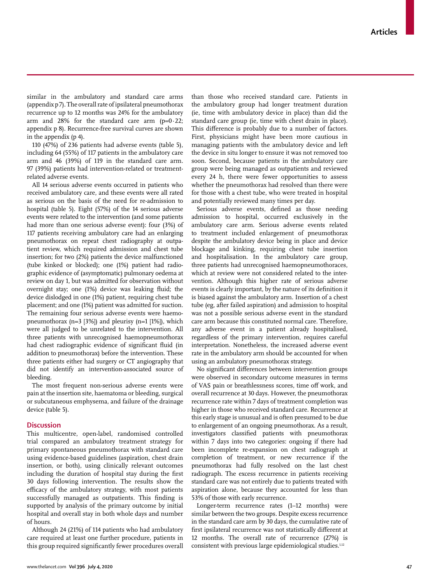similar in the ambulatory and standard care arms (appendix p 7). The overall rate of ipsilateral pneumothorax recurrence up to 12 months was 24% for the ambulatory arm and  $28\%$  for the standard care arm (p=0 $\cdot$ 22; appendix p 8). Recurrence-free survival curves are shown in the appendix (p 4).

110 (47%) of 236 patients had adverse events (table 5), including 64 (55%) of 117 patients in the ambulatory care arm and 46 (39%) of 119 in the standard care arm. 97 (39%) patients had intervention-related or treatmentrelated adverse events.

All 14 serious adverse events occurred in patients who received ambulatory care, and these events were all rated as serious on the basis of the need for re-admission to hospital (table 5). Eight (57%) of the 14 serious adverse events were related to the intervention (and some patients had more than one serious adverse event): four (3%) of 117 patients receiving ambulatory care had an enlarging pneumothorax on repeat chest radiography at outpatient review, which required admission and chest tube insertion; for two (2%) patients the device malfunctioned (tube kinked or blocked); one (1%) patient had radiographic evidence of (asymptomatic) pulmonary oedema at review on day 1, but was admitted for observation without overnight stay; one (1%) device was leaking fluid; the device dislodged in one (1%) patient, requiring chest tube placement; and one (1%) patient was admitted for suction. The remaining four serious adverse events were haemopneumothorax  $(n=3 \ 3\%)$  and pleurisy  $(n=1 \ 1\%)$ , which were all judged to be unrelated to the intervention. All three patients with unrecognised haemopneumothorax had chest radiographic evidence of significant fluid (in addition to pneumothorax) before the intervention. These three patients either had surgery or CT angiography that did not identify an intervention-associated source of bleeding.

The most frequent non-serious adverse events were pain at the insertion site, haematoma or bleeding, surgical or subcutaneous emphysema, and failure of the drainage device (table 5).

## **Discussion**

This multicentre, open-label, randomised controlled trial compared an ambulatory treatment strategy for primary spontaneous pneumothorax with standard care using evidence-based guidelines (aspiration, chest drain insertion, or both), using clinically relevant outcomes including the duration of hospital stay during the first 30 days following intervention. The results show the efficacy of the ambulatory strategy, with most patients successfully managed as outpatients. This finding is supported by analysis of the primary outcome by initial hospital and overall stay in both whole days and number of hours.

Although 24 (21%) of 114 patients who had ambulatory care required at least one further procedure, patients in this group required significantly fewer procedures overall than those who received standard care. Patients in the ambulatory group had longer treatment duration (ie, time with ambulatory device in place) than did the standard care group (ie, time with chest drain in place). This difference is probably due to a number of factors. First, physicians might have been more cautious in managing patients with the ambulatory device and left the device in situ longer to ensure it was not removed too soon. Second, because patients in the ambulatory care group were being managed as outpatients and reviewed every 24 h, there were fewer opportunities to assess whether the pneumothorax had resolved than there were for those with a chest tube, who were treated in hospital and potentially reviewed many times per day.

Serious adverse events, defined as those needing admission to hospital, occurred exclusively in the ambulatory care arm. Serious adverse events related to treatment included enlargement of pneumothorax despite the ambulatory device being in place and device blockage and kinking, requiring chest tube insertion and hospitalisation. In the ambulatory care group, three patients had unrecognised haemopneumothoraces, which at review were not considered related to the intervention. Although this higher rate of serious adverse events is clearly important, by the nature of its definition it is biased against the ambulatory arm. Insertion of a chest tube (eg, after failed aspiration) and admission to hospital was not a possible serious adverse event in the standard care arm because this constituted normal care. Therefore, any adverse event in a patient already hospitalised, regardless of the primary intervention, requires careful interpretation. Nonetheless, the increased adverse event rate in the ambulatory arm should be accounted for when using an ambulatory pneumothorax strategy.

No significant differences between intervention groups were observed in secondary outcome measures in terms of VAS pain or breathlessness scores, time off work, and overall recurrence at 30 days. However, the pneumothorax recurrence rate within 7 days of treatment completion was higher in those who received standard care. Recurrence at this early stage is unusual and is often presumed to be due to enlargement of an ongoing pneumothorax. As a result, investigators classified patients with pneumothorax within 7 days into two categories: ongoing if there had been incomplete re-expansion on chest radiograph at completion of treatment, or new recurrence if the pneumothorax had fully resolved on the last chest radiograph. The excess recurrence in patients receiving standard care was not entirely due to patients treated with aspiration alone, because they accounted for less than 53% of those with early recurrence.

Longer-term recurrence rates (1–12 months) were similar between the two groups. Despite excess recurrence in the standard care arm by 30 days, the cumulative rate of first ipsilateral recurrence was not statistically different at 12 months. The overall rate of recurrence (27%) is consistent with previous large epidemiological studies.<sup>1,12</sup>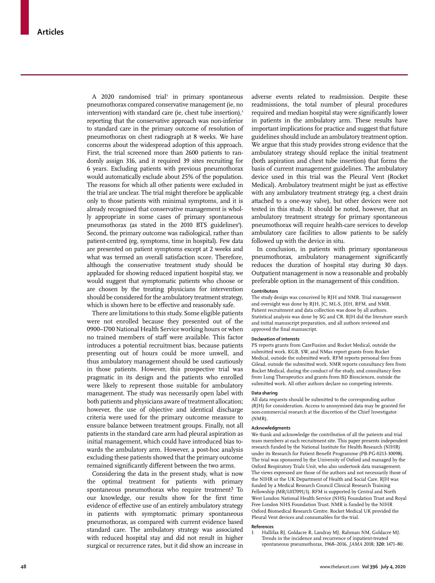A 2020 randomised trial<sup>3</sup> in primary spontaneous pneumothorax compared conservative management (ie, no intervention) with standard care (ie, chest tube insertion), $3$ reporting that the conservative approach was non-inferior to standard care in the primary outcome of resolution of pneumothorax on chest radiograph at 8 weeks. We have concerns about the widespread adoption of this approach. First, the trial screened more than 2600 patients to randomly assign 316, and it required 39 sites recruiting for 6 years. Excluding patients with previous pneumothorax would automatically exclude about 25% of the population. The reasons for which all other patients were excluded in the trial are unclear. The trial might therefore be applicable only to those patients with minimal symptoms, and it is already recognised that conservative management is wholly appropriate in some cases of primary spontaneous pneumothorax (as stated in the 2010 BTS guidelines<sup>4</sup>). Second, the primary outcome was radiological, rather than patient-centred (eg, symptoms, time in hospital). Few data are presented on patient symptoms except at 2 weeks and what was termed an overall satisfaction score. Therefore, although the conservative treatment study should be applauded for showing reduced inpatient hospital stay, we would suggest that symptomatic patients who choose or are chosen by the treating physicians for intervention should be considered for the ambulatory treatment strategy, which is shown here to be effective and reasonably safe.

There are limitations to this study. Some eligible patients were not enrolled because they presented out of the 0900–1700 National Health Service working hours or when no trained members of staff were available. This factor introduces a potential recruitment bias, because patients presenting out of hours could be more unwell, and thus ambulatory management should be used cautiously in those patients. However, this prospective trial was pragmatic in its design and the patients who enrolled were likely to represent those suitable for ambulatory management. The study was necessarily open label with both patients and physicians aware of treatment allocation; however, the use of objective and identical discharge criteria were used for the primary outcome measure to ensure balance between treatment groups. Finally, not all patients in the standard care arm had pleural aspiration as initial management, which could have introduced bias towards the ambulatory arm. However, a post-hoc analysis excluding these patients showed that the primary outcome remained significantly different between the two arms.

Considering the data in the present study, what is now the optimal treatment for patients with primary spontaneous pneumothorax who require treatment? To our knowledge, our results show for the first time evidence of effective use of an entirely ambulatory strategy in patients with symptomatic primary spontaneous pneumothorax, as compared with current evidence based standard care. The ambulatory strategy was associated with reduced hospital stay and did not result in higher surgical or recurrence rates, but it did show an increase in

adverse events related to readmission. Despite these readmissions, the total number of pleural procedures required and median hospital stay were significantly lower in patients in the ambulatory arm. These results have important implications for practice and suggest that future guidelines should include an ambulatory treatment option. We argue that this study provides strong evidence that the ambulatory strategy should replace the initial treatment (both aspiration and chest tube insertion) that forms the basis of current management guidelines. The ambulatory device used in this trial was the Pleural Vent (Rocket Medical). Ambulatory treatment might be just as effective with any ambulatory treatment strategy (eg, a chest drain attached to a one-way valve), but other devices were not tested in this study. It should be noted, however, that an ambulatory treatment strategy for primary spontaneous pneumothorax will require health-care services to develop ambulatory care facilities to allow patients to be safely followed up with the device in situ.

In conclusion, in patients with primary spontaneous pneumothorax, ambulatory management significantly reduces the duration of hospital stay during 30 days. Outpatient management is now a reasonable and probably preferable option in the management of this condition.

#### **Contributors**

The study design was conceived by RJH and NMR. Trial management and oversight was done by RJH, JC, ML-S, JEH, RFM, and NMR. Patient recruitment and data collection was done by all authors. Statistical analysis was done by SG and CR. RJH did the literature search and initial manuscript preparation, and all authors reviewed and approved the final manuscript.

#### **Declaration of interests**

PS reports grants from CareFusion and Rocket Medical, outside the submitted work. KGB, SW, and NMas report grants from Rocket Medical, outside the submitted work. RFM reports personal fees from Gilead, outside the submitted work. NMR reports consultancy fees from Rocket Medical, during the conduct of the study, and consultancy fees from Lung Therapeutics and grants from BD Biosciences, outside the submitted work. All other authors declare no competing interests.

#### **Data sharing**

All data requests should be submitted to the corresponding author (RJH) for consideration. Access to anonymised data may be granted for non-commercial research at the discretion of the Chief Investigator (NMR).

#### **Acknowledgments**

We thank and acknowledge the contribution of all the patients and trial team members at each recruitment site. This paper presents independent research funded by the National Institute for Health Research (NIHR) under its Research for Patient Benefit Programme (PB-PG-0213-30098). The trial was sponsored by the University of Oxford and managed by the Oxford Respiratory Trials Unit, who also undertook data management. The views expressed are those of the authors and not necessarily those of the NIHR or the UK Department of Health and Social Care. RJH was funded by a Medical Research Council Clinical Research Training Fellowship (MR/L017091/1). RFM is supported by Central and North West London National Health Service (NHS) Foundation Trust and Royal Free London NHS Foundation Trust. NMR is funded by the NIHR Oxford Biomedical Research Centre. Rocket Medical UK provided the Pleural Vent devices and consumables for the trial.

#### **References**

1 Hallifax RJ, Goldacre R, Landray MJ, Rahman NM, Goldacre MJ. Trends in the incidence and recurrence of inpatient-treated spontaneous pneumothorax, 1968–2016. *JAMA* 2018; **320:** 1471–80.